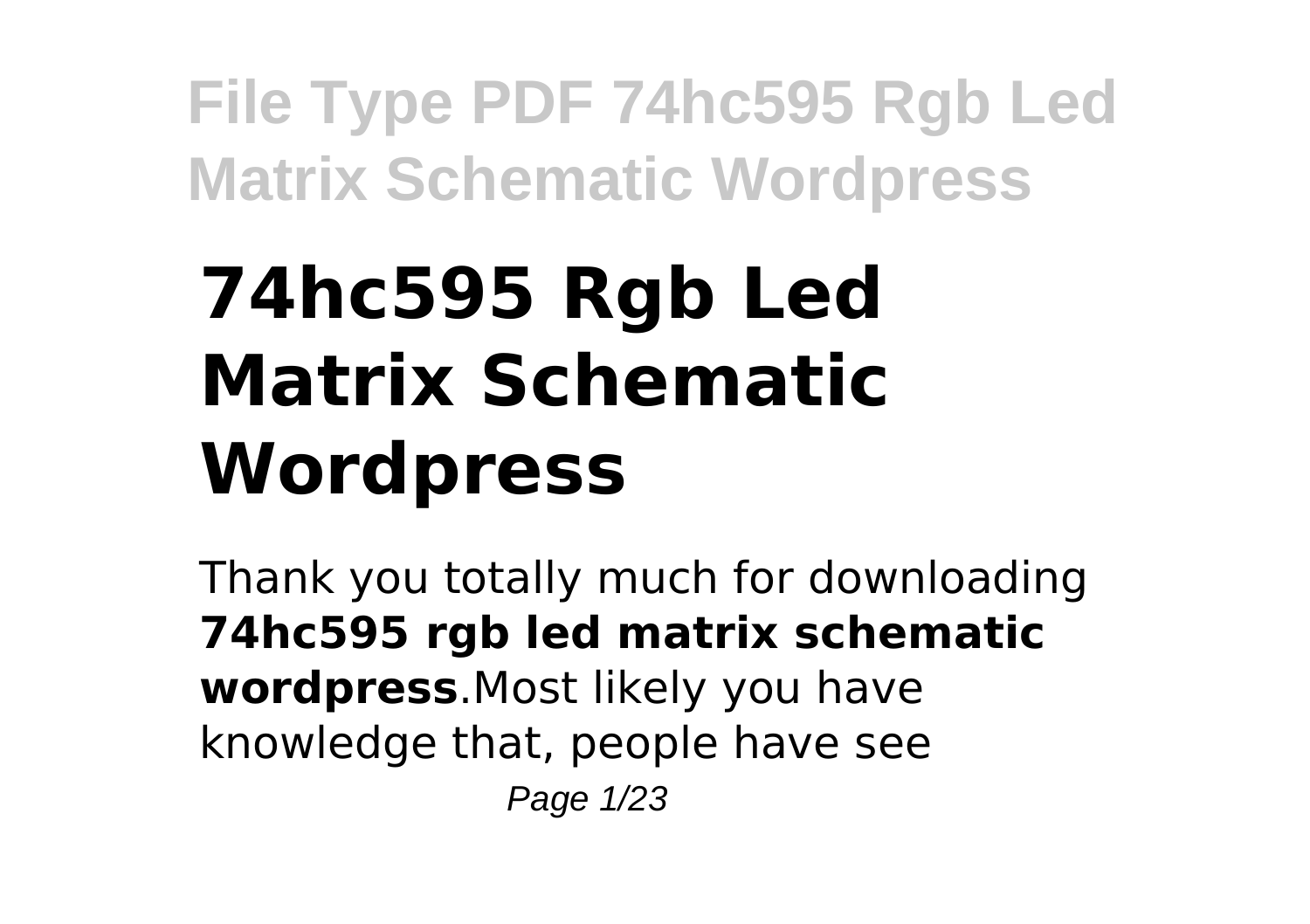# **74hc595 Rgb Led Matrix Schematic Wordpress**

Thank you totally much for downloading **74hc595 rgb led matrix schematic wordpress**.Most likely you have knowledge that, people have see Page 1/23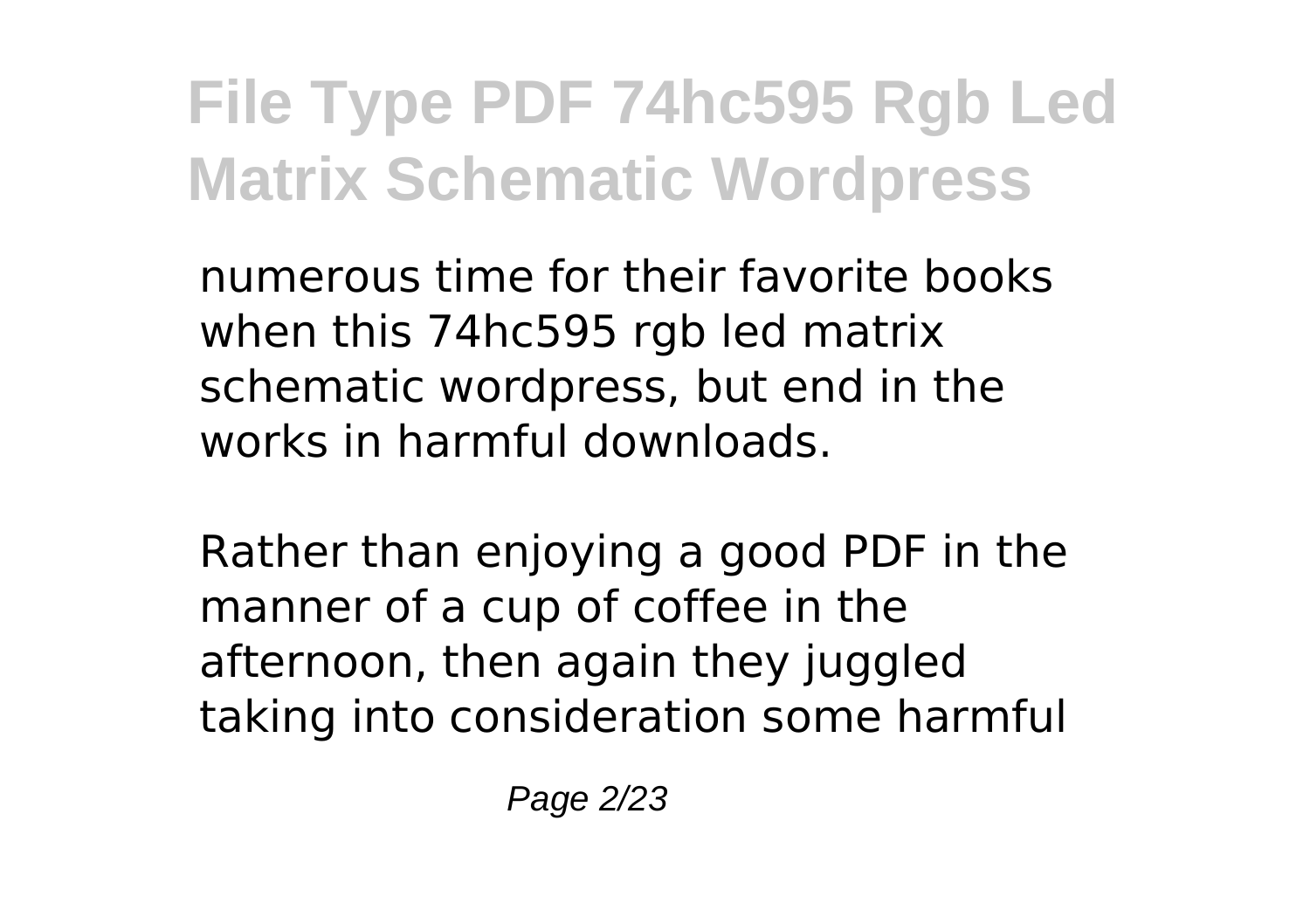numerous time for their favorite books when this 74hc595 rgb led matrix schematic wordpress, but end in the works in harmful downloads.

Rather than enjoying a good PDF in the manner of a cup of coffee in the afternoon, then again they juggled taking into consideration some harmful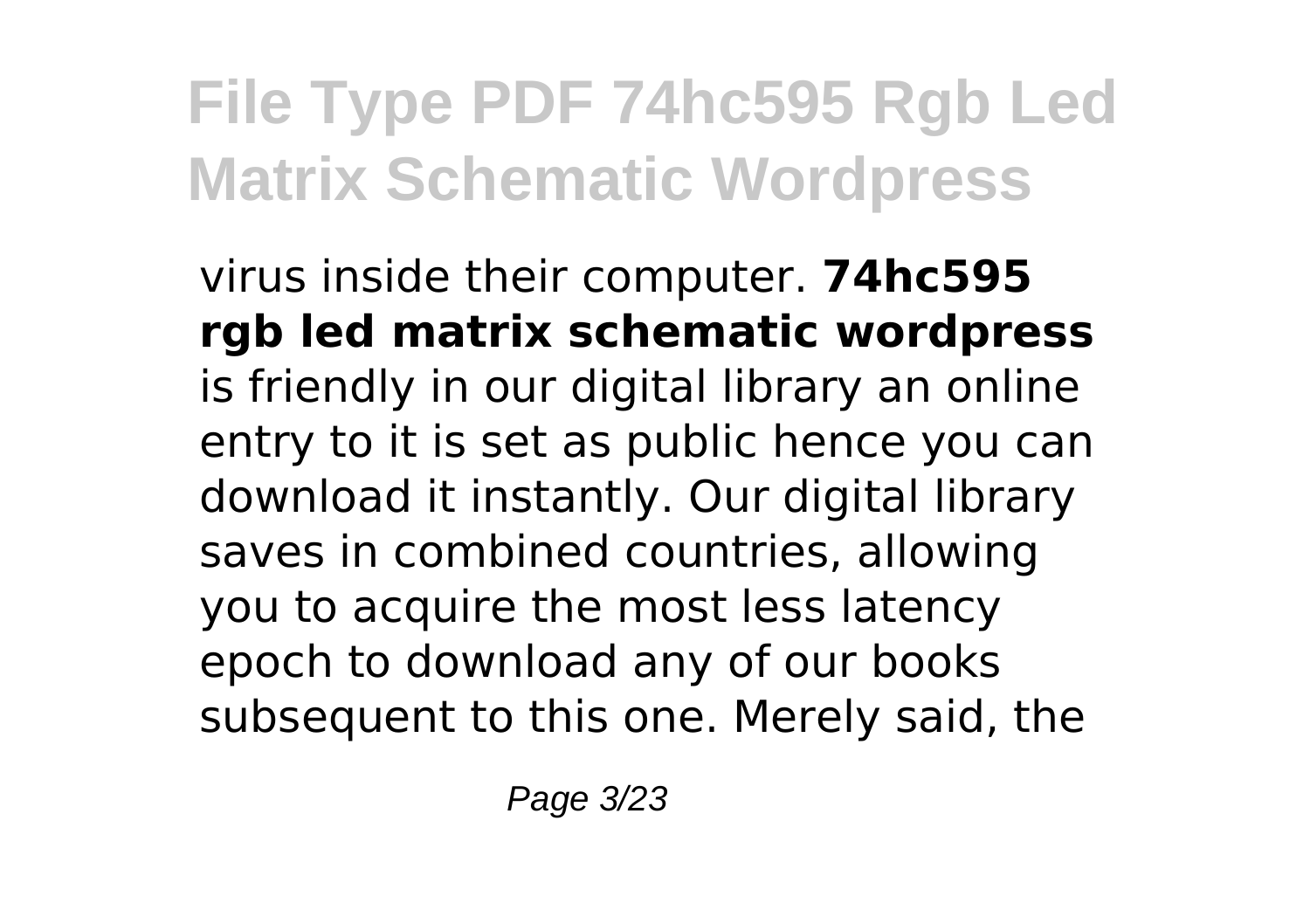virus inside their computer. **74hc595 rgb led matrix schematic wordpress** is friendly in our digital library an online entry to it is set as public hence you can download it instantly. Our digital library saves in combined countries, allowing you to acquire the most less latency epoch to download any of our books subsequent to this one. Merely said, the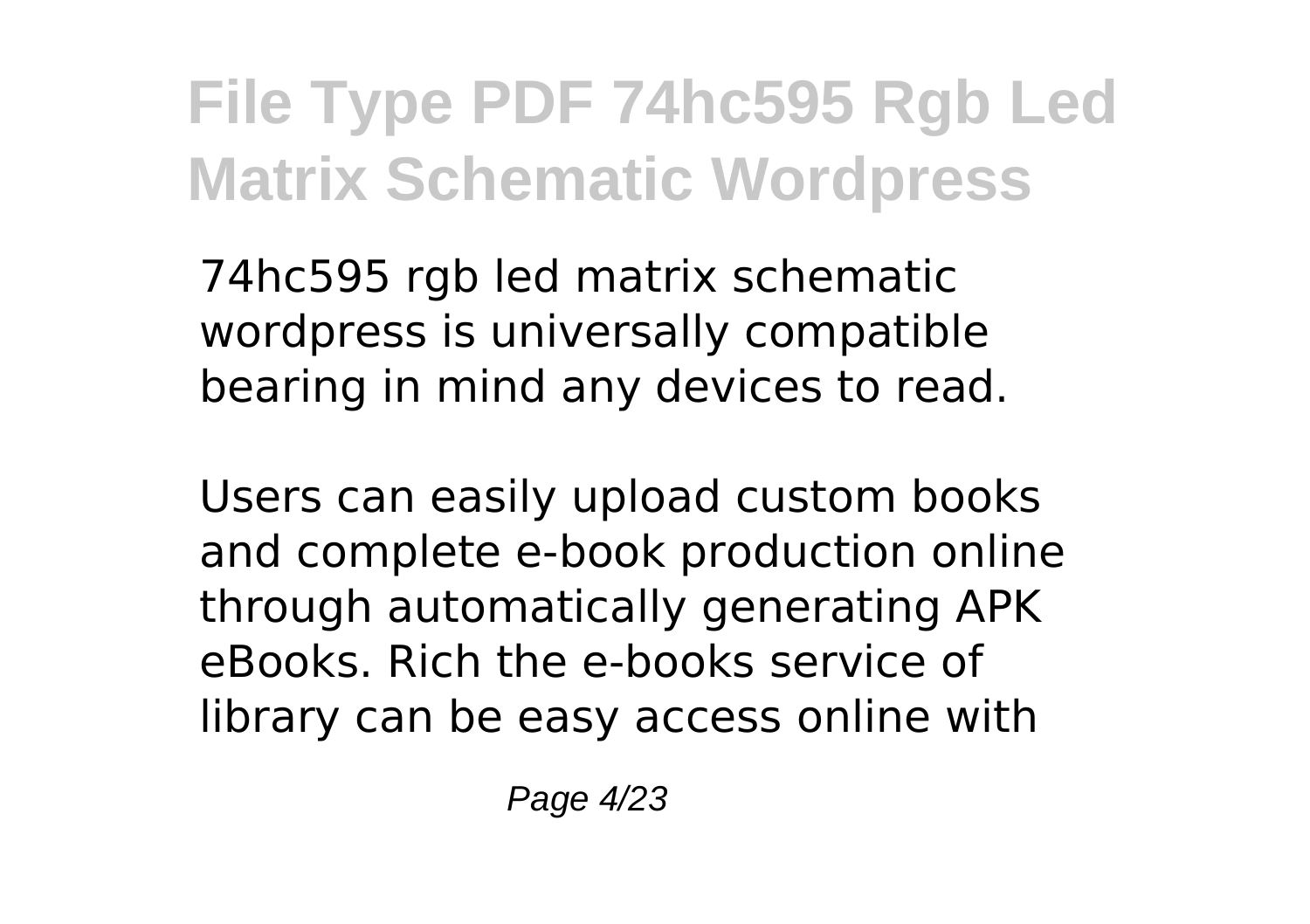74hc595 rgb led matrix schematic wordpress is universally compatible bearing in mind any devices to read.

Users can easily upload custom books and complete e-book production online through automatically generating APK eBooks. Rich the e-books service of library can be easy access online with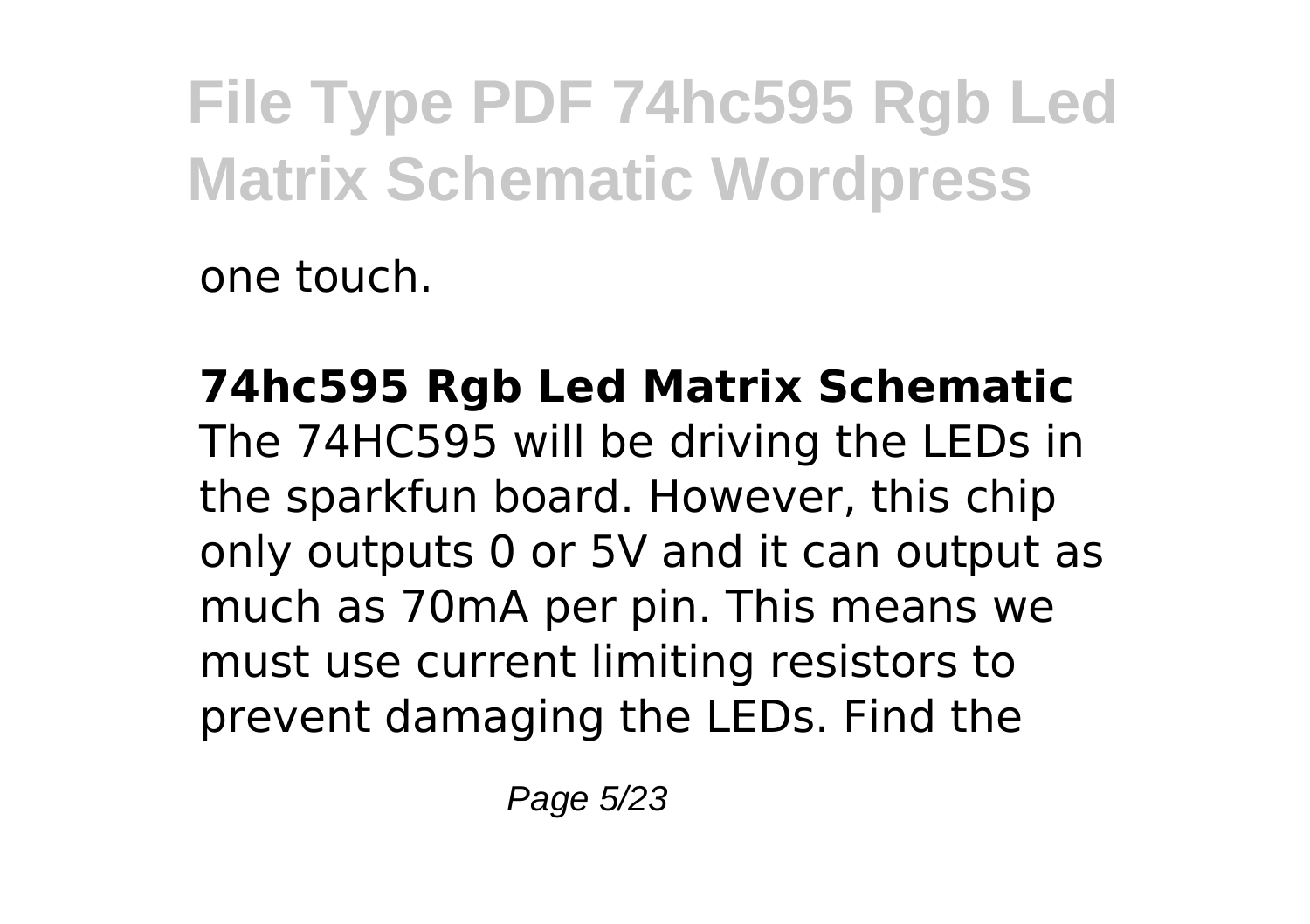one touch.

**74hc595 Rgb Led Matrix Schematic** The 74HC595 will be driving the LEDs in the sparkfun board. However, this chip only outputs 0 or 5V and it can output as much as 70mA per pin. This means we must use current limiting resistors to prevent damaging the LEDs. Find the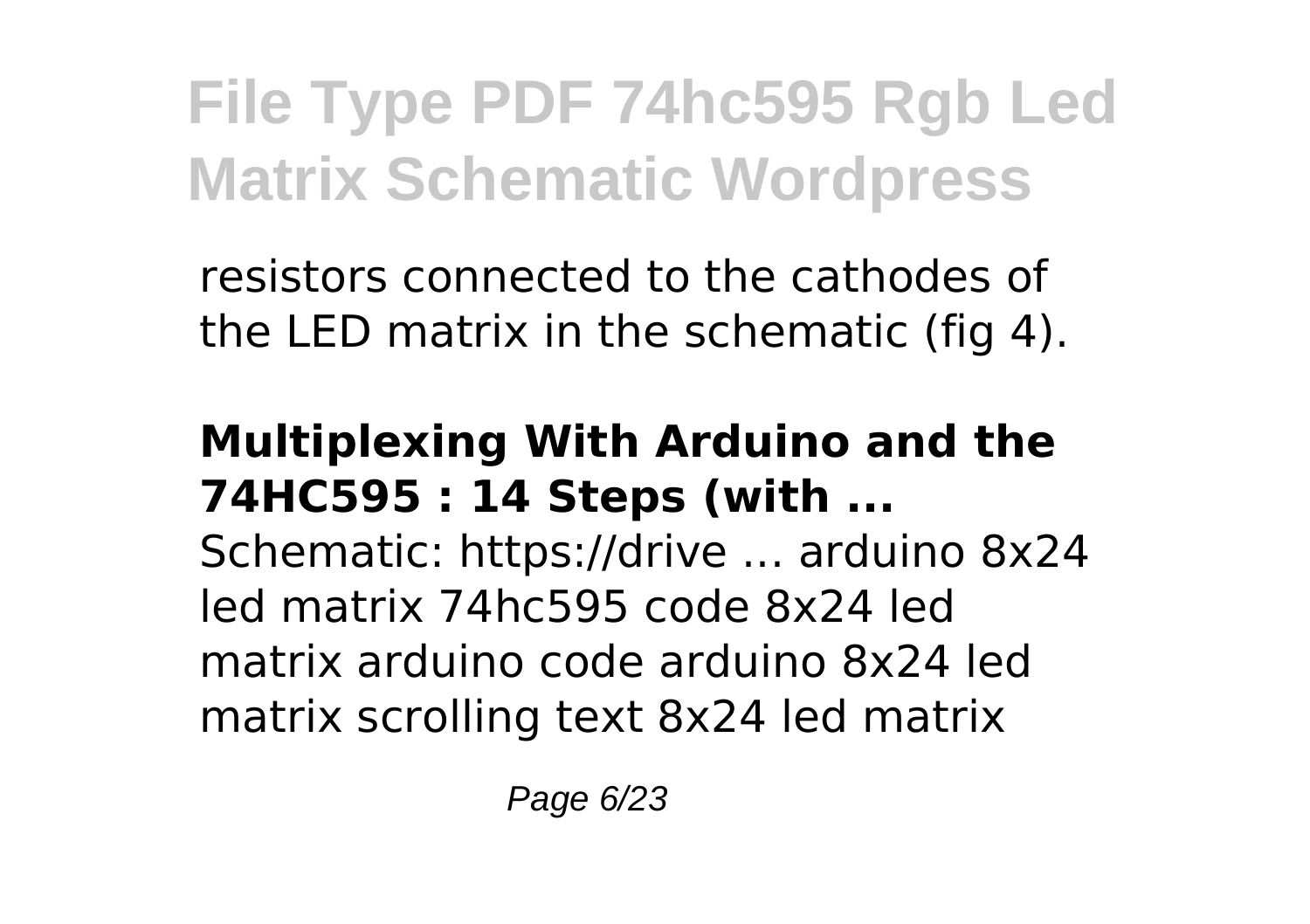resistors connected to the cathodes of the LED matrix in the schematic (fig 4).

#### **Multiplexing With Arduino and the 74HC595 : 14 Steps (with ...**

Schematic: https://drive ... arduino 8x24 led matrix 74hc595 code 8x24 led matrix arduino code arduino 8x24 led matrix scrolling text 8x24 led matrix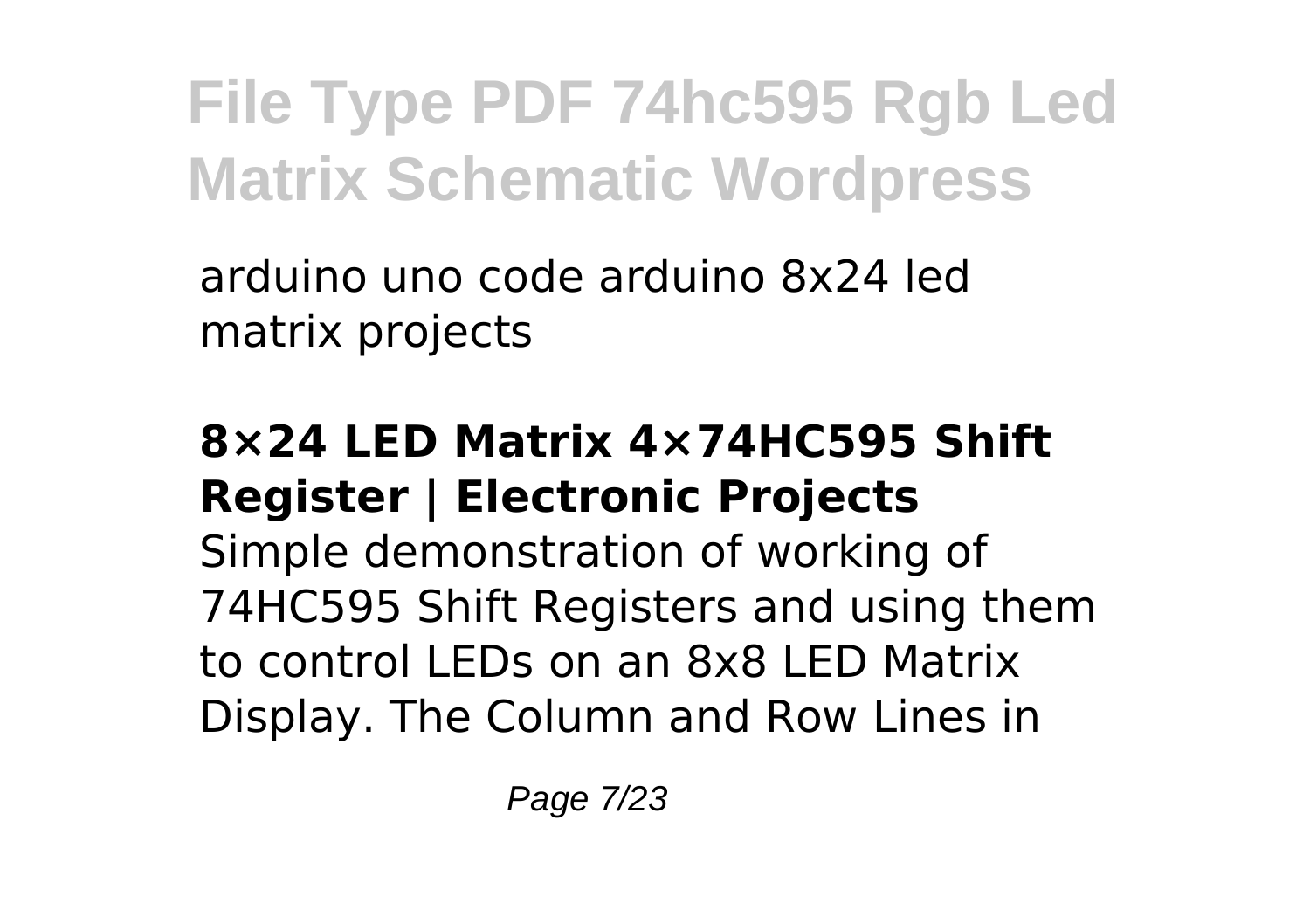arduino uno code arduino 8x24 led matrix projects

#### **8×24 LED Matrix 4×74HC595 Shift Register | Electronic Projects**

Simple demonstration of working of 74HC595 Shift Registers and using them to control LEDs on an 8x8 LED Matrix Display. The Column and Row Lines in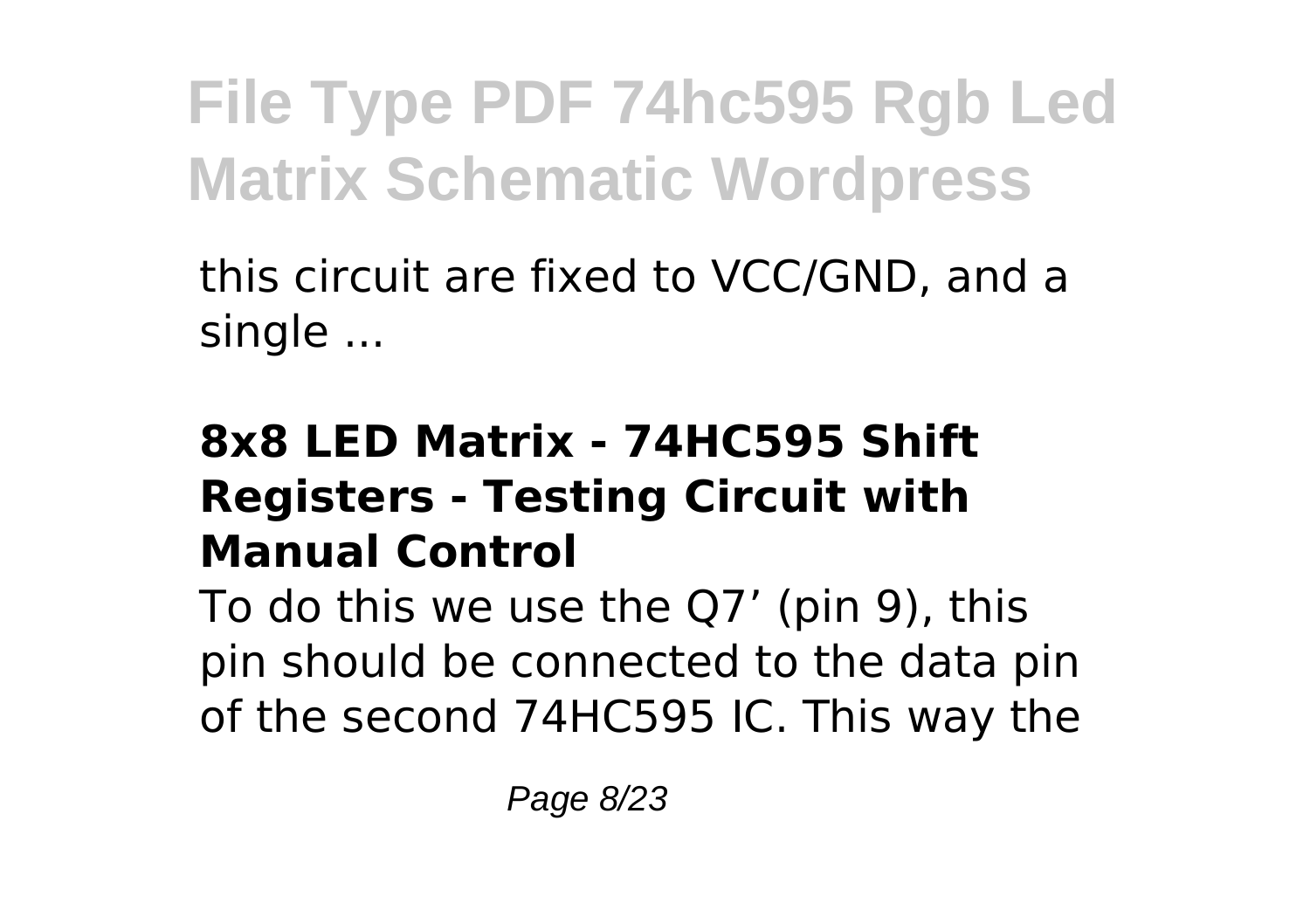this circuit are fixed to VCC/GND, and a single ...

### **8x8 LED Matrix - 74HC595 Shift Registers - Testing Circuit with Manual Control**

To do this we use the Q7' (pin 9), this pin should be connected to the data pin of the second 74HC595 IC. This way the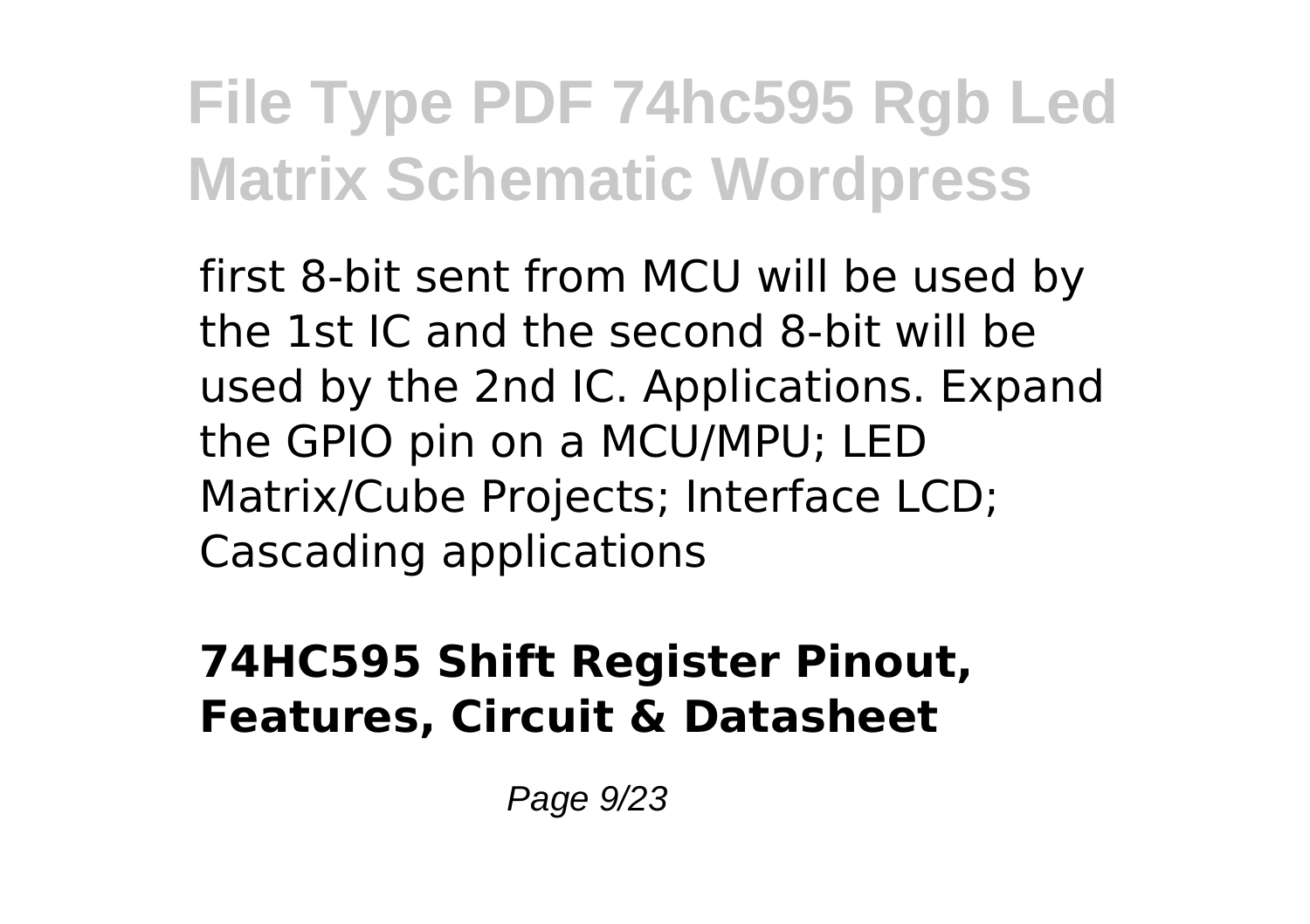first 8-bit sent from MCU will be used by the 1st IC and the second 8-bit will be used by the 2nd IC. Applications. Expand the GPIO pin on a MCU/MPU; LED Matrix/Cube Projects; Interface LCD; Cascading applications

#### **74HC595 Shift Register Pinout, Features, Circuit & Datasheet**

Page 9/23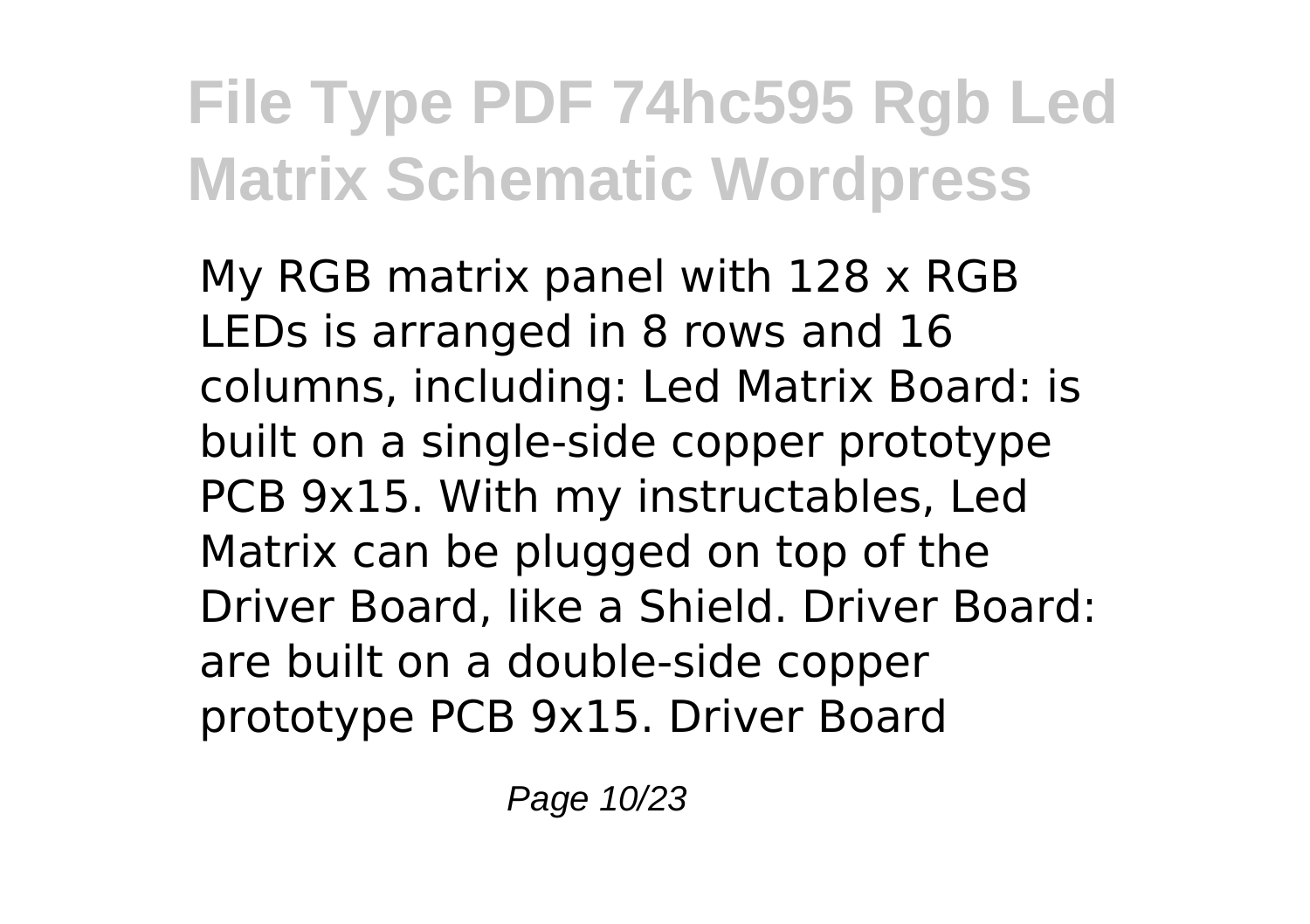My RGB matrix panel with 128 x RGB LEDs is arranged in 8 rows and 16 columns, including: Led Matrix Board: is built on a single-side copper prototype PCB 9x15. With my instructables, Led Matrix can be plugged on top of the Driver Board, like a Shield. Driver Board: are built on a double-side copper prototype PCB 9x15. Driver Board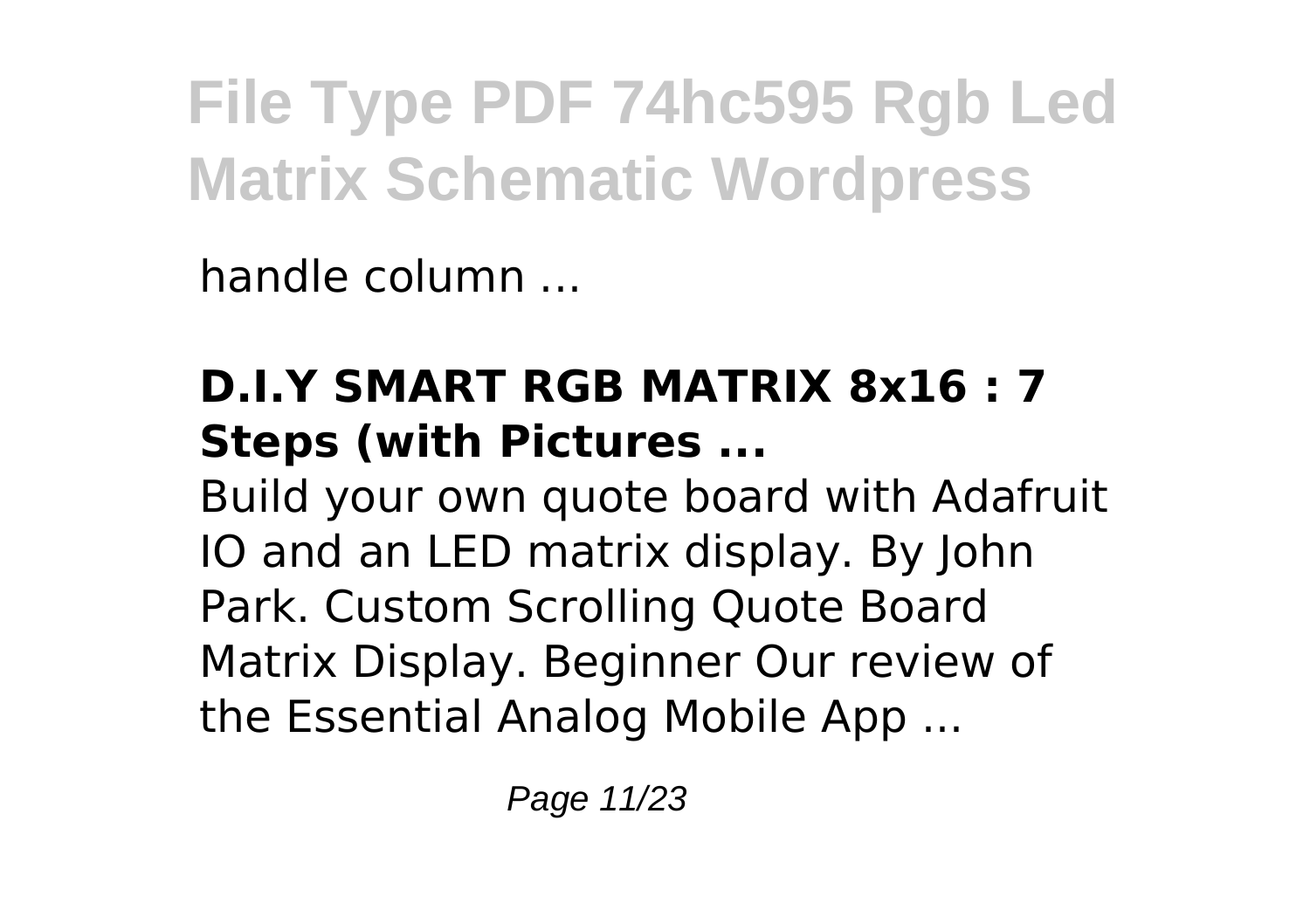handle column ...

### **D.I.Y SMART RGB MATRIX 8x16 : 7 Steps (with Pictures ...**

Build your own quote board with Adafruit IO and an LED matrix display. By John Park. Custom Scrolling Quote Board Matrix Display. Beginner Our review of the Essential Analog Mobile App ...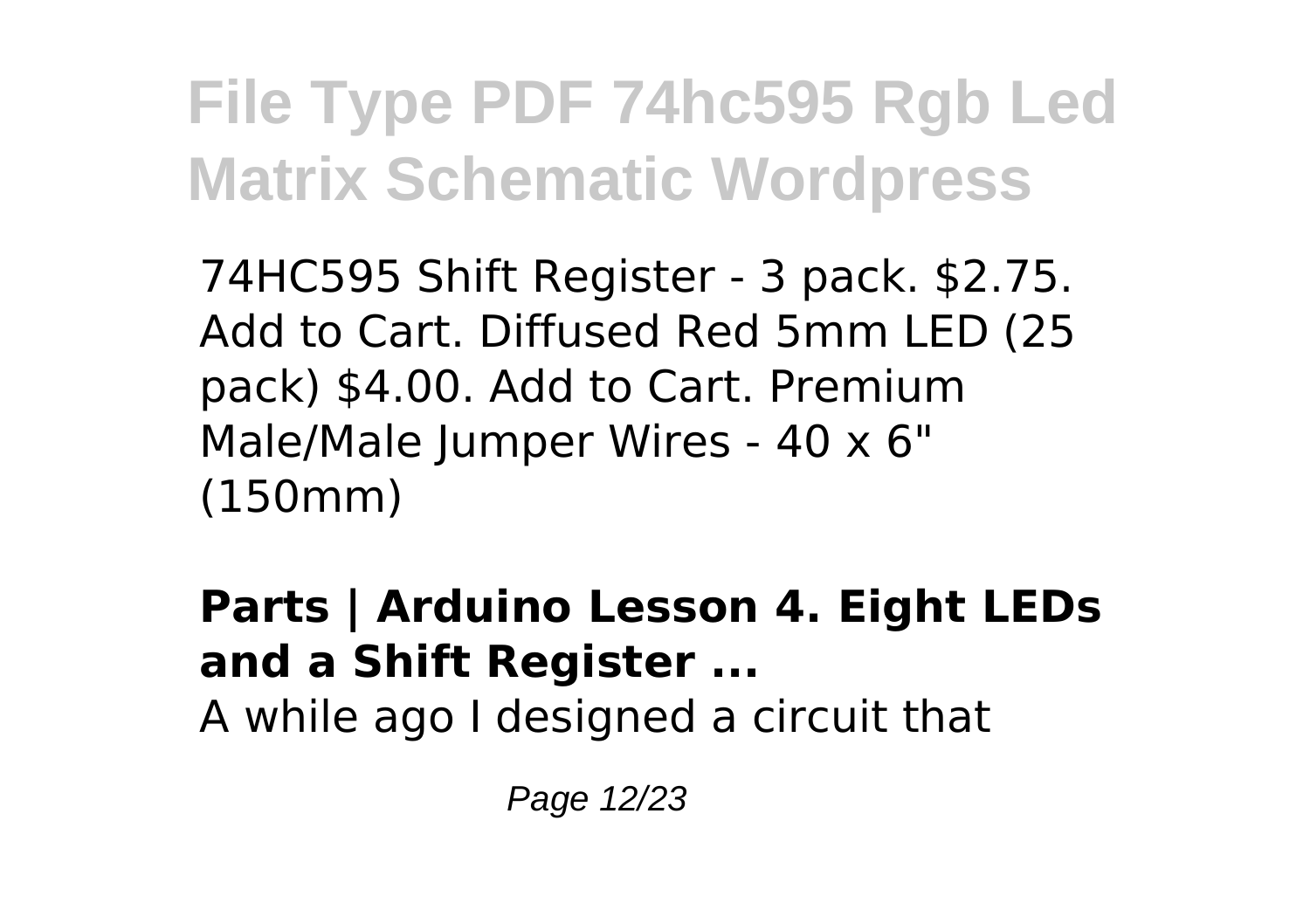74HC595 Shift Register - 3 pack. \$2.75. Add to Cart. Diffused Red 5mm LED (25 pack) \$4.00. Add to Cart. Premium Male/Male Jumper Wires - 40 x 6" (150mm)

**Parts | Arduino Lesson 4. Eight LEDs and a Shift Register ...** A while ago I designed a circuit that

Page 12/23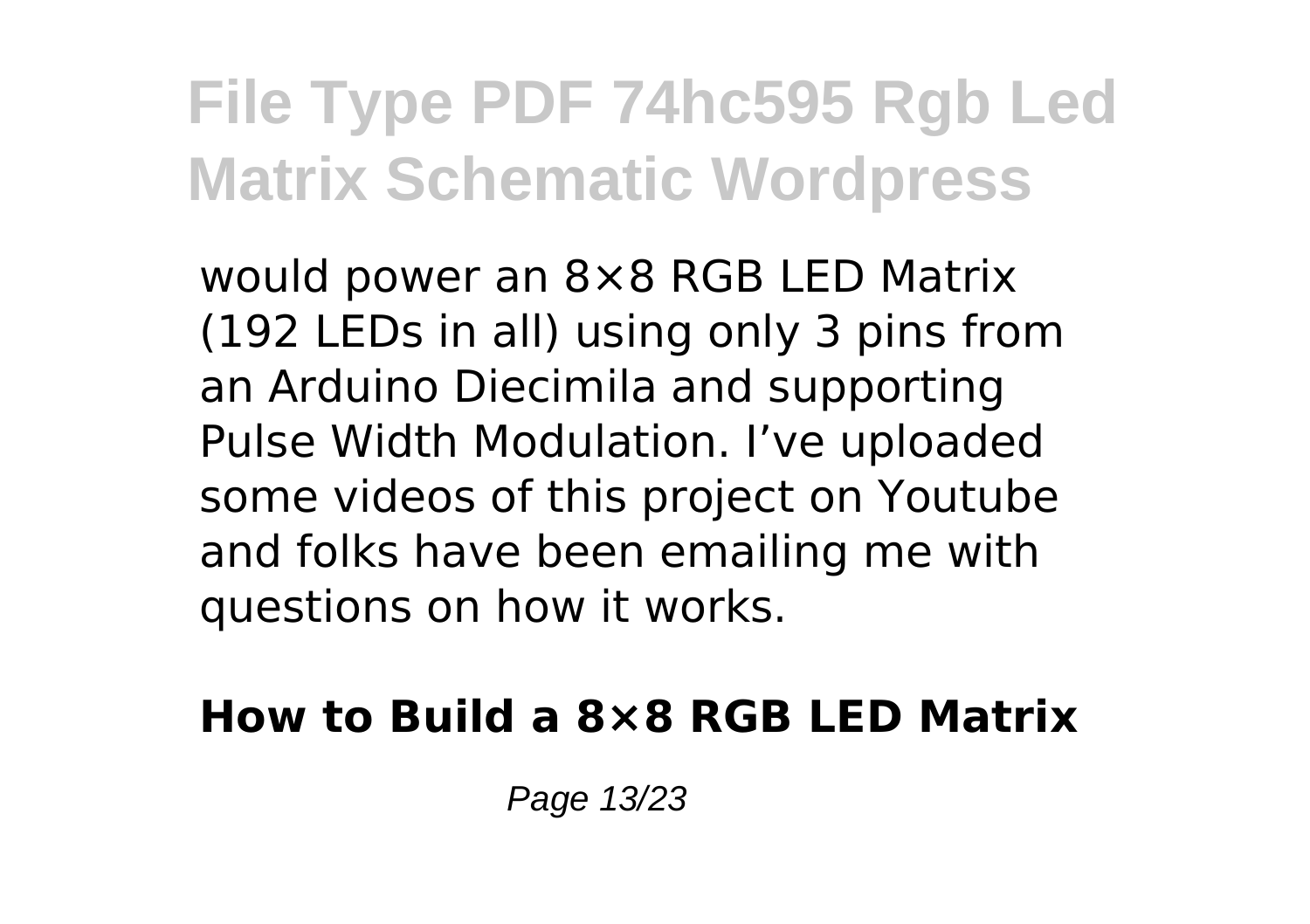would power an 8×8 RGB LED Matrix (192 LEDs in all) using only 3 pins from an Arduino Diecimila and supporting Pulse Width Modulation. I've uploaded some videos of this project on Youtube and folks have been emailing me with questions on how it works.

#### **How to Build a 8×8 RGB LED Matrix**

Page 13/23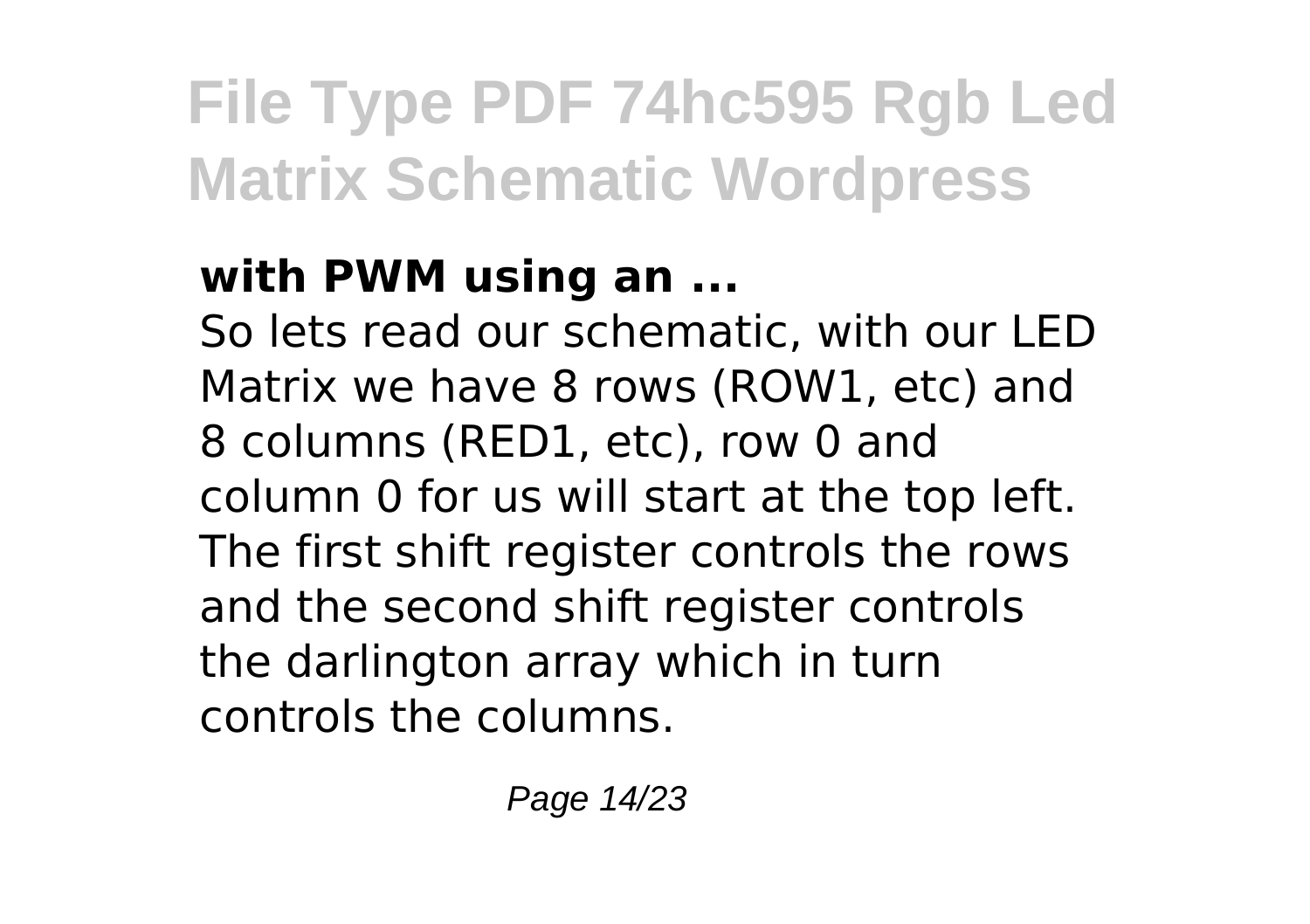### **with PWM using an ...**

So lets read our schematic, with our LED Matrix we have 8 rows (ROW1, etc) and 8 columns (RED1, etc), row 0 and column 0 for us will start at the top left. The first shift register controls the rows and the second shift register controls the darlington array which in turn controls the columns.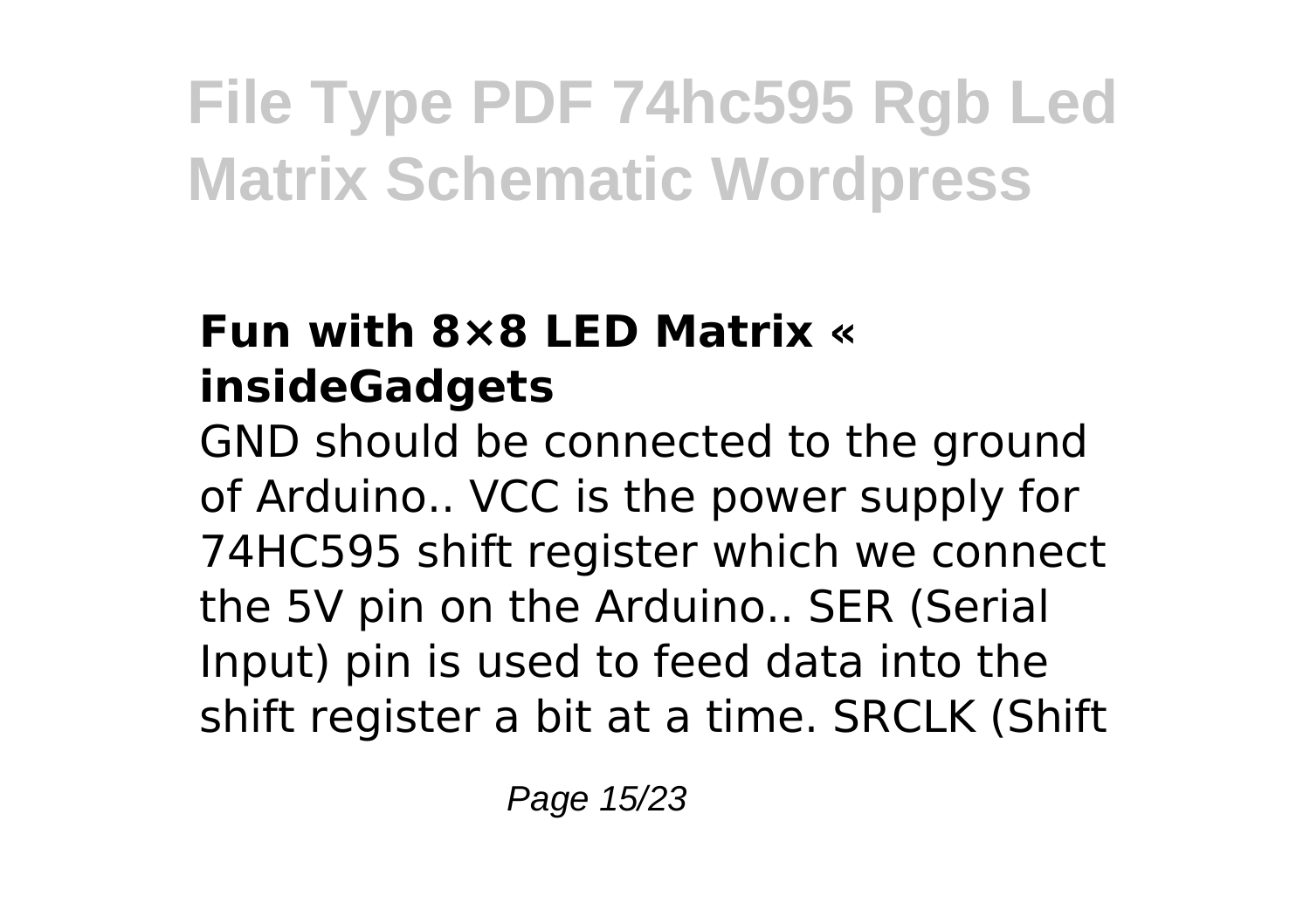### **Fun with 8×8 LED Matrix « insideGadgets**

GND should be connected to the ground of Arduino.. VCC is the power supply for 74HC595 shift register which we connect the 5V pin on the Arduino.. SER (Serial Input) pin is used to feed data into the shift register a bit at a time. SRCLK (Shift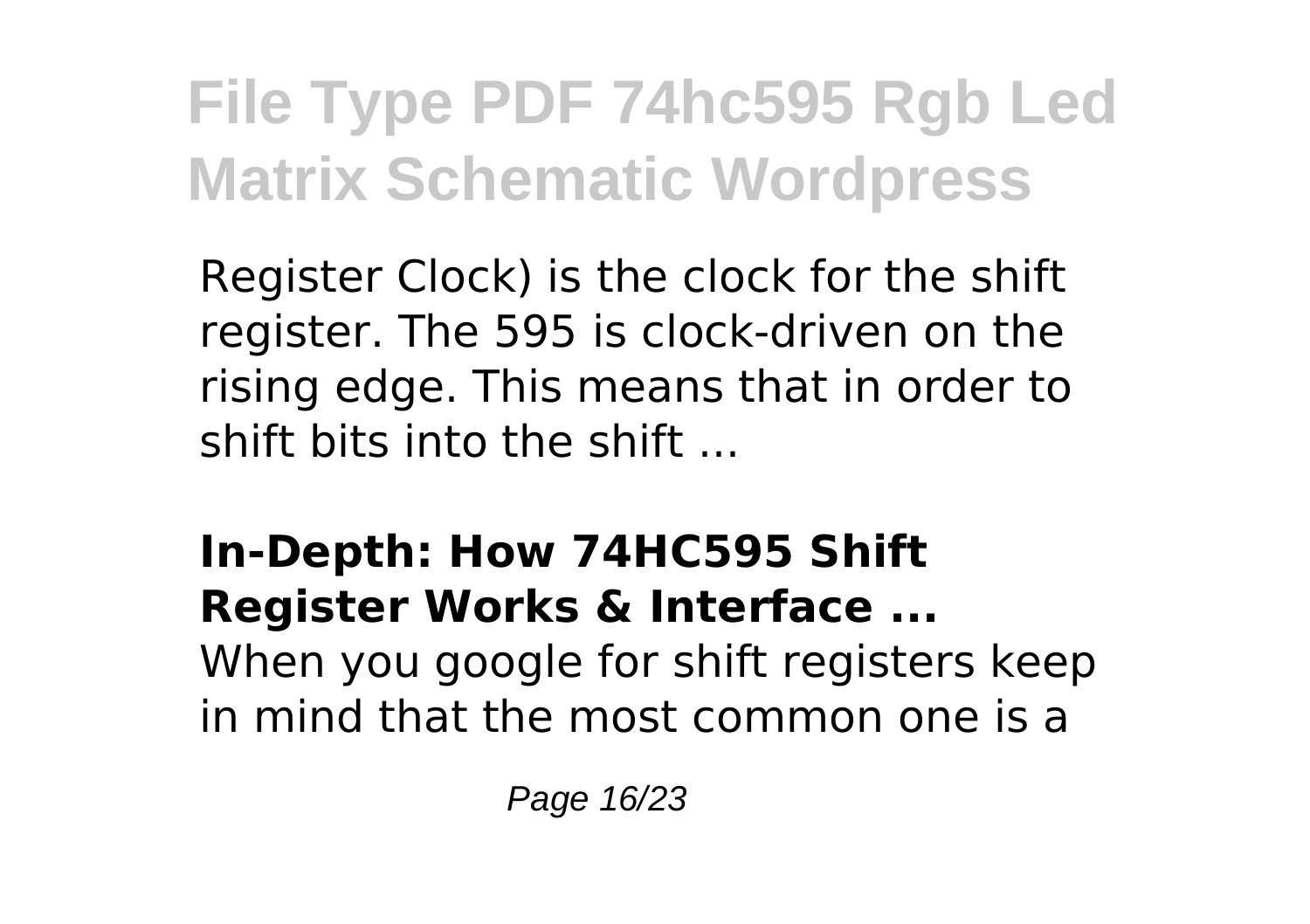Register Clock) is the clock for the shift register. The 595 is clock-driven on the rising edge. This means that in order to shift bits into the shift ...

**In-Depth: How 74HC595 Shift Register Works & Interface ...** When you google for shift registers keep in mind that the most common one is a

Page 16/23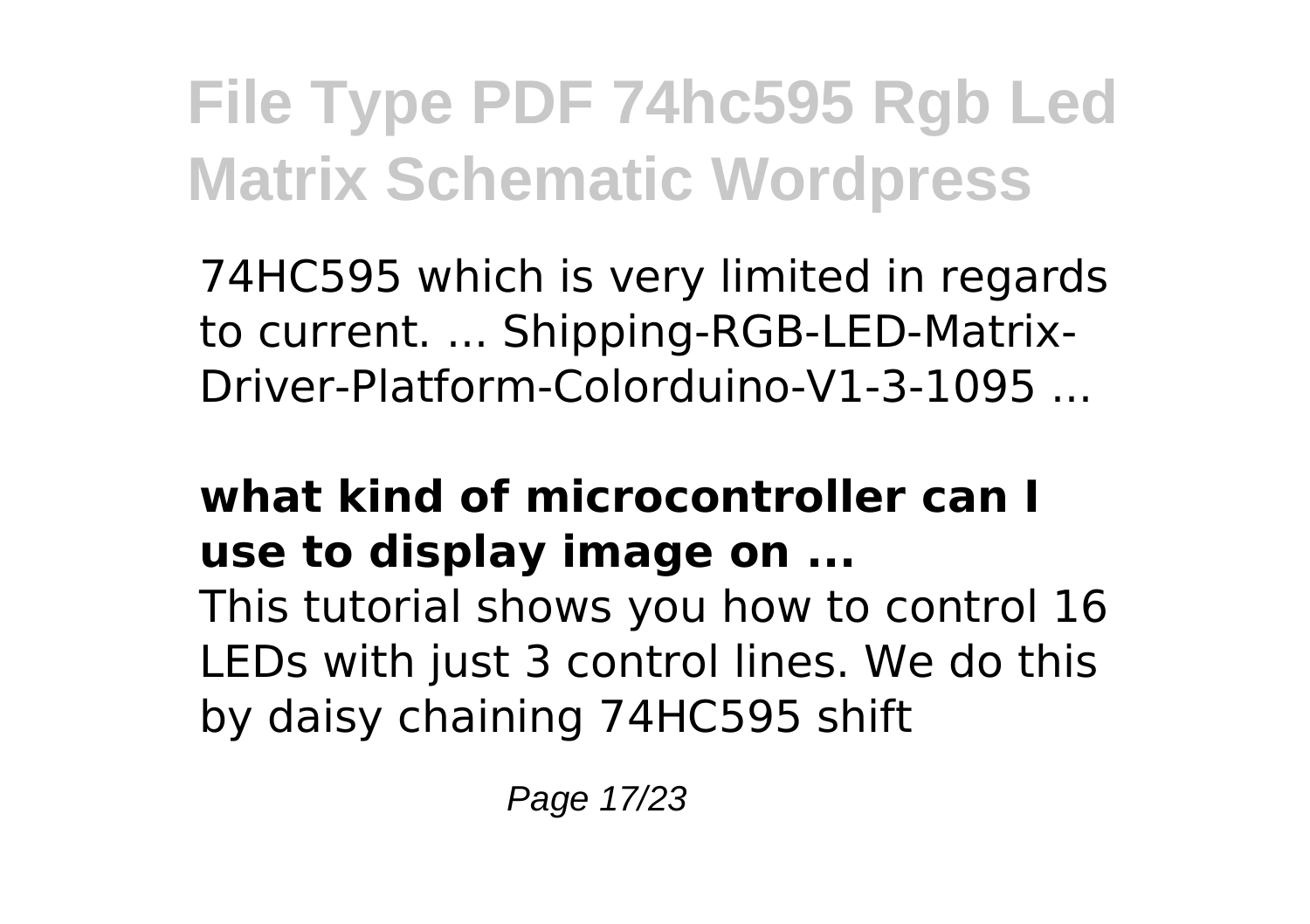74HC595 which is very limited in regards to current. ... Shipping-RGB-LED-Matrix-Driver-Platform-Colorduino-V1-3-1095 ...

### **what kind of microcontroller can I use to display image on ...**

This tutorial shows you how to control 16 LEDs with just 3 control lines. We do this by daisy chaining 74HC595 shift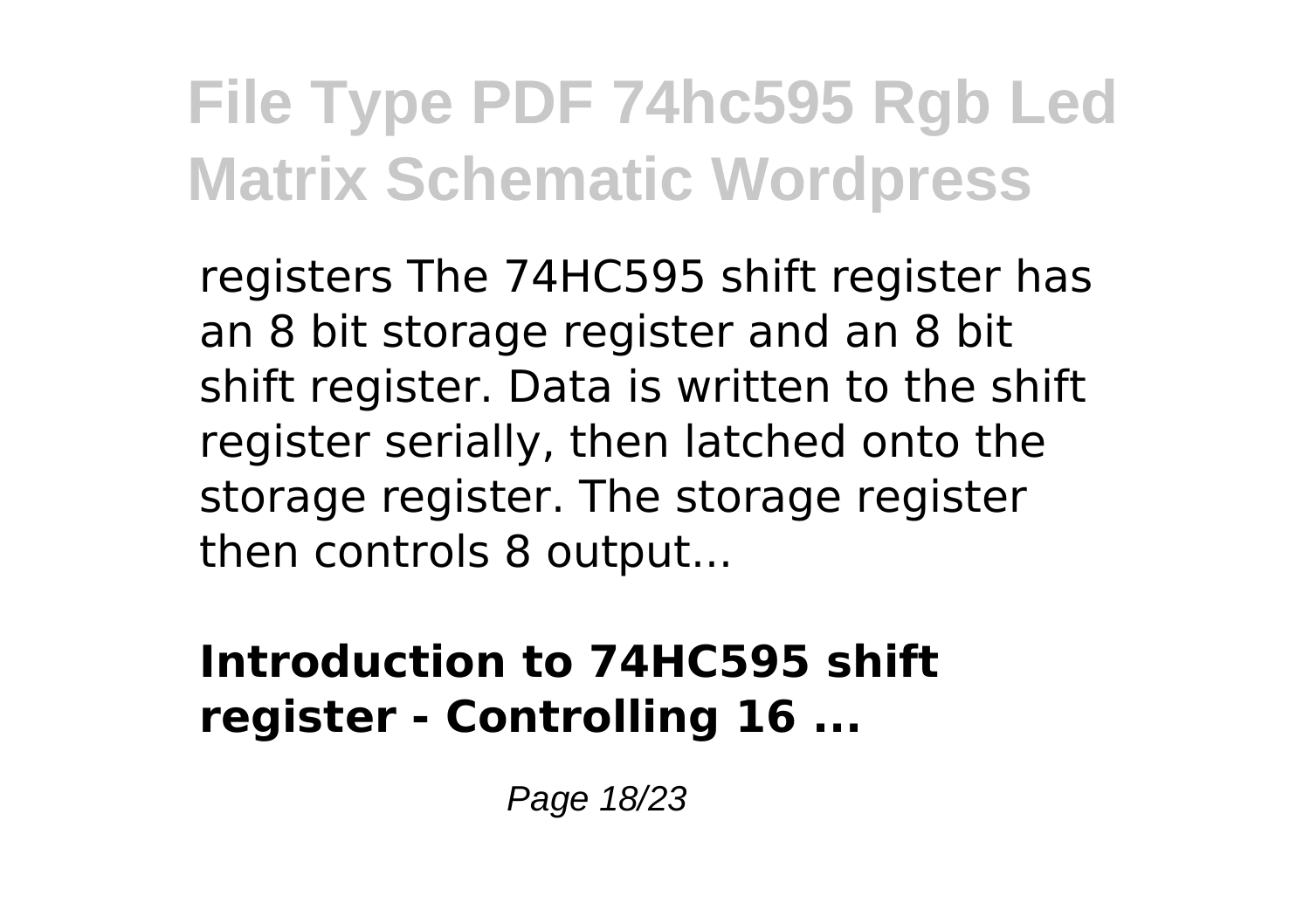registers The 74HC595 shift register has an 8 bit storage register and an 8 bit shift register. Data is written to the shift register serially, then latched onto the storage register. The storage register then controls 8 output...

#### **Introduction to 74HC595 shift register - Controlling 16 ...**

Page 18/23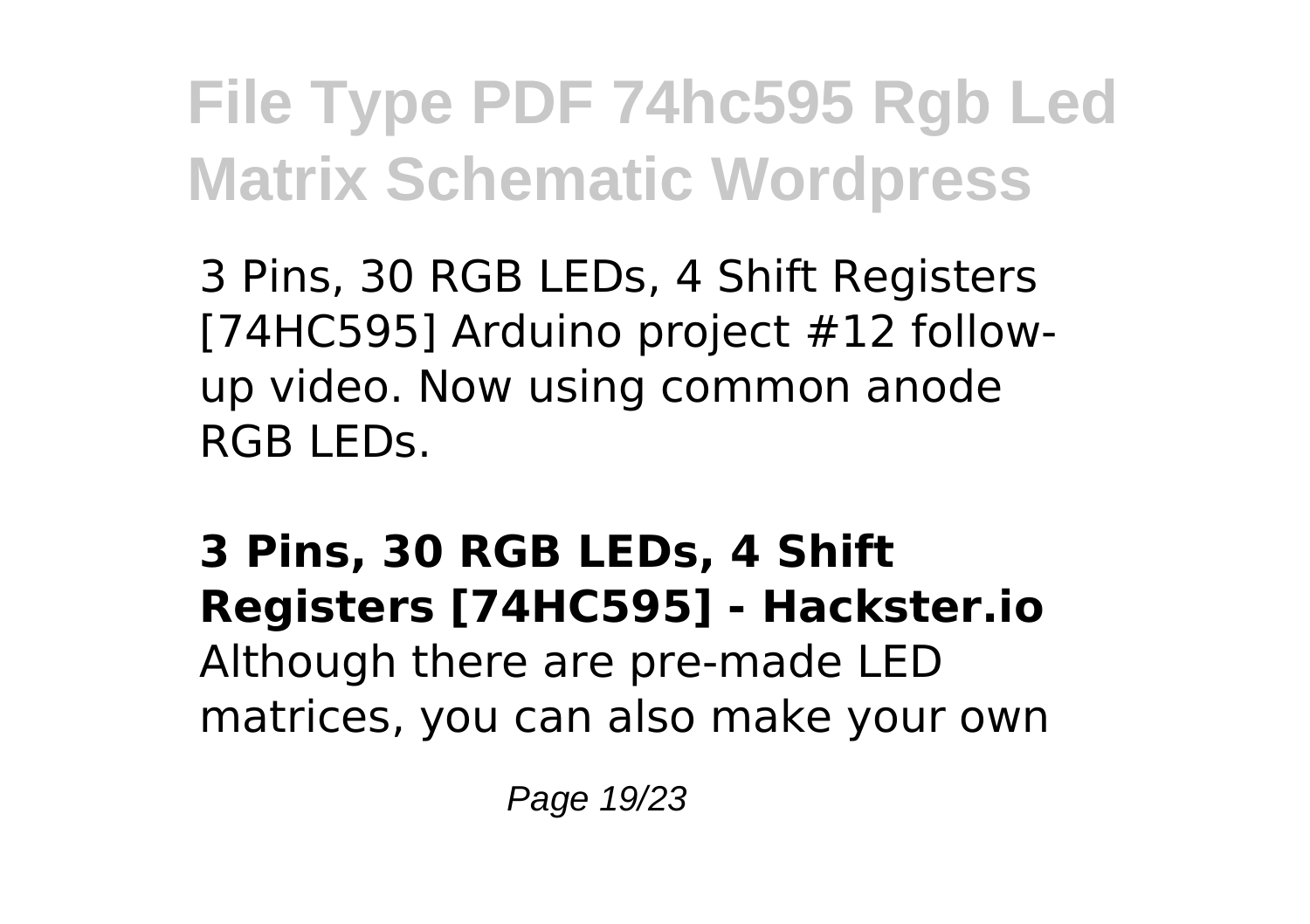3 Pins, 30 RGB LEDs, 4 Shift Registers [74HC595] Arduino project #12 followup video. Now using common anode RGB LEDs.

### **3 Pins, 30 RGB LEDs, 4 Shift Registers [74HC595] - Hackster.io** Although there are pre-made LED matrices, you can also make your own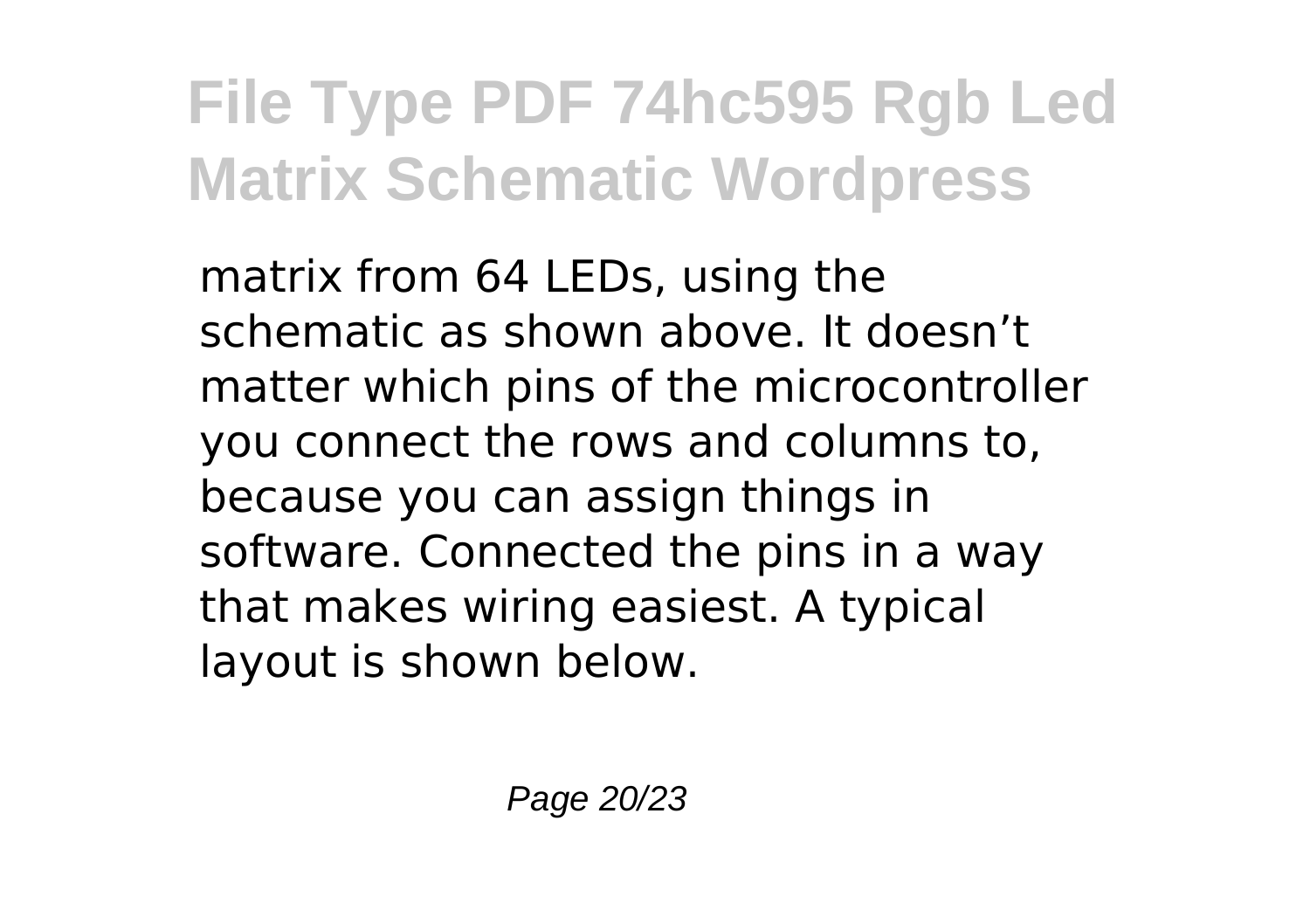matrix from 64 LEDs, using the schematic as shown above. It doesn't matter which pins of the microcontroller you connect the rows and columns to, because you can assign things in software. Connected the pins in a way that makes wiring easiest. A typical layout is shown below.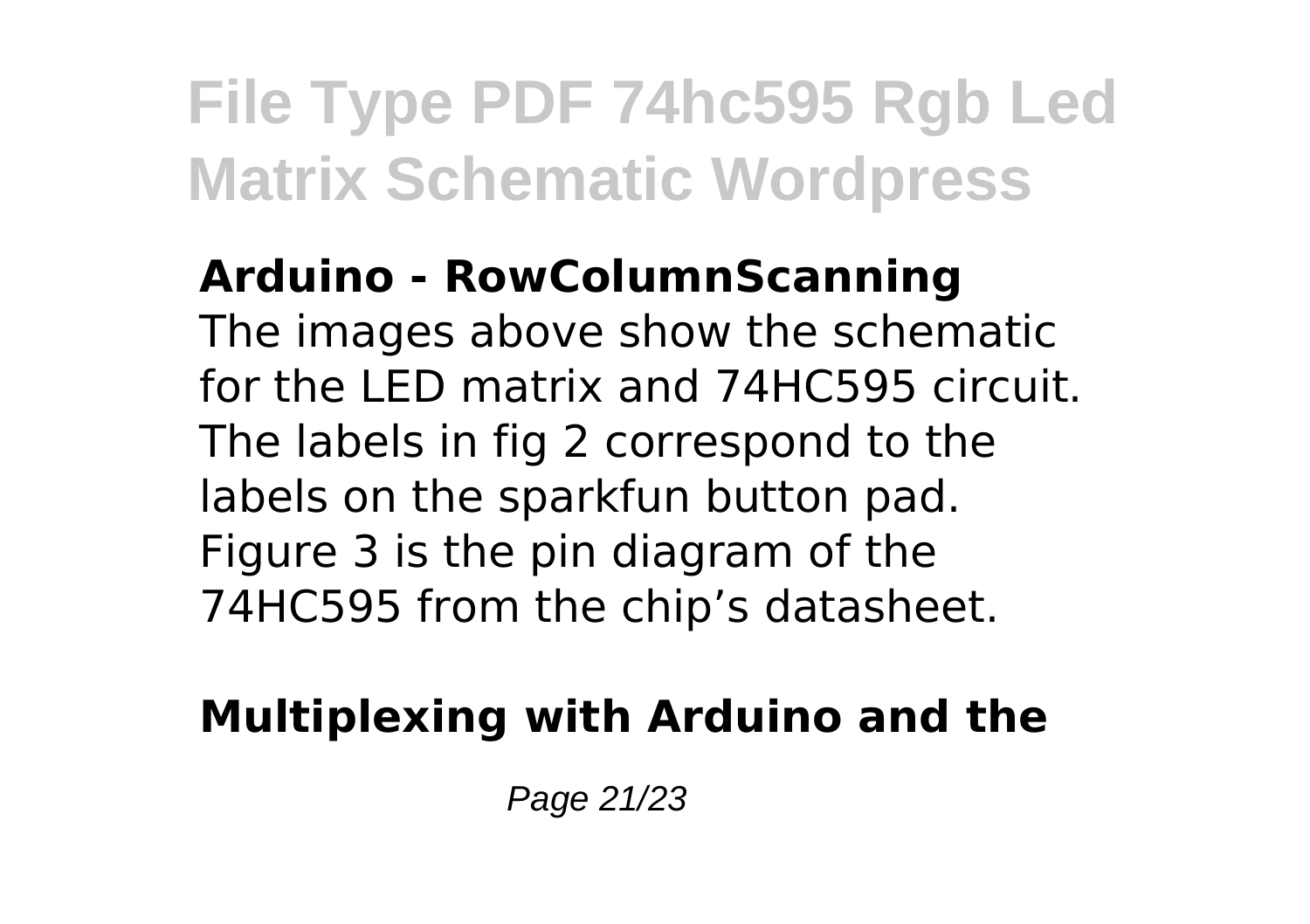#### **Arduino - RowColumnScanning**

The images above show the schematic for the LED matrix and 74HC595 circuit. The labels in fig 2 correspond to the labels on the sparkfun button pad. Figure 3 is the pin diagram of the 74HC595 from the chip's datasheet.

### **Multiplexing with Arduino and the**

Page 21/23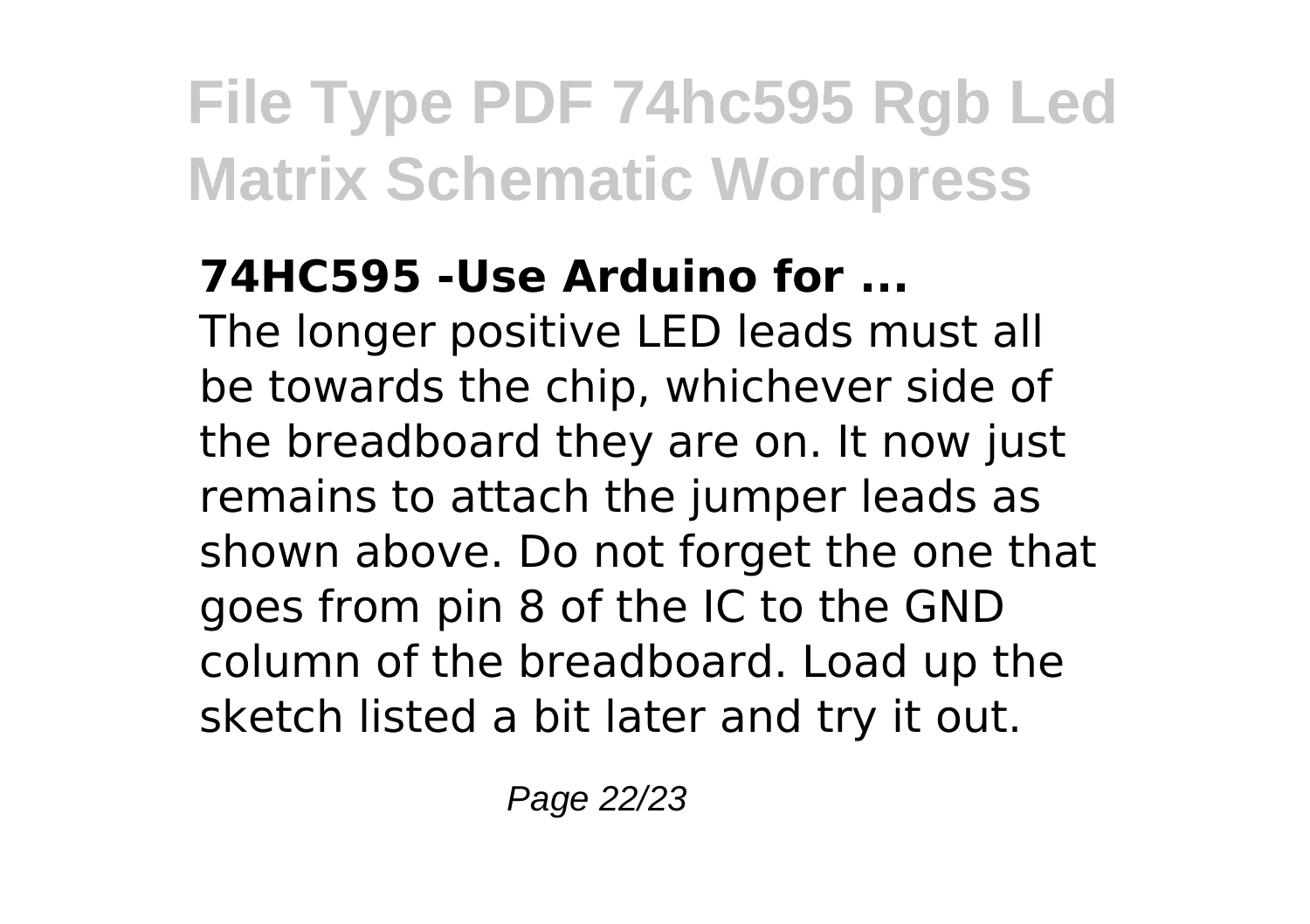### **74HC595 -Use Arduino for ...**

The longer positive LED leads must all be towards the chip, whichever side of the breadboard they are on. It now just remains to attach the jumper leads as shown above. Do not forget the one that goes from pin 8 of the IC to the GND column of the breadboard. Load up the sketch listed a bit later and try it out.